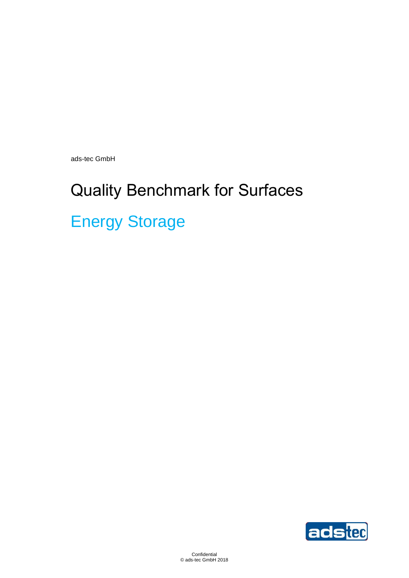ads-tec GmbH

# Quality Benchmark for Surfaces Energy Storage

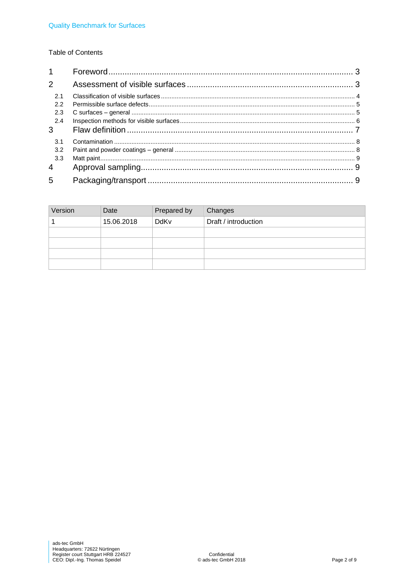#### **Table of Contents**

| $\mathbf 1$           |  |
|-----------------------|--|
| $\mathcal{P}$         |  |
| 2.1<br>2.2            |  |
| 2.3                   |  |
| 2.4<br>3              |  |
| 3.1                   |  |
| 3.2                   |  |
| 3.3<br>$\overline{4}$ |  |
|                       |  |

| Version | Date       | Prepared by | Changes              |
|---------|------------|-------------|----------------------|
|         | 15.06.2018 | DdKv        | Draft / introduction |
|         |            |             |                      |
|         |            |             |                      |
|         |            |             |                      |
|         |            |             |                      |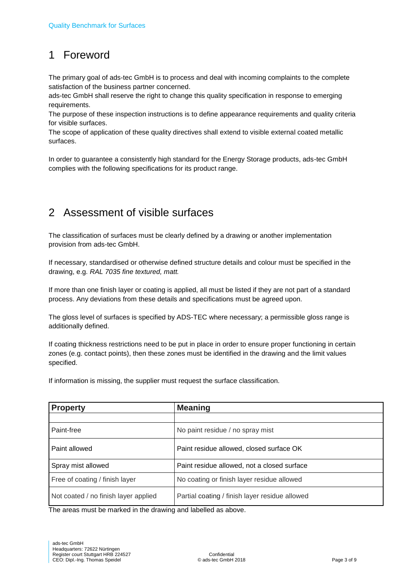# <span id="page-2-0"></span>1 Foreword

The primary goal of ads-tec GmbH is to process and deal with incoming complaints to the complete satisfaction of the business partner concerned.

ads-tec GmbH shall reserve the right to change this quality specification in response to emerging requirements.

The purpose of these inspection instructions is to define appearance requirements and quality criteria for visible surfaces.

The scope of application of these quality directives shall extend to visible external coated metallic surfaces.

In order to guarantee a consistently high standard for the Energy Storage products, ads-tec GmbH complies with the following specifications for its product range.

## <span id="page-2-1"></span>2 Assessment of visible surfaces

The classification of surfaces must be clearly defined by a drawing or another implementation provision from ads-tec GmbH.

If necessary, standardised or otherwise defined structure details and colour must be specified in the drawing, e.g. *RAL 7035 fine textured, matt.*

If more than one finish layer or coating is applied, all must be listed if they are not part of a standard process. Any deviations from these details and specifications must be agreed upon.

The gloss level of surfaces is specified by ADS-TEC where necessary; a permissible gloss range is additionally defined.

If coating thickness restrictions need to be put in place in order to ensure proper functioning in certain zones (e.g. contact points), then these zones must be identified in the drawing and the limit values specified.

If information is missing, the supplier must request the surface classification.

| <b>Property</b>                      | <b>Meaning</b>                                 |
|--------------------------------------|------------------------------------------------|
|                                      |                                                |
| Paint-free                           | No paint residue / no spray mist               |
| Paint allowed                        | Paint residue allowed, closed surface OK       |
| Spray mist allowed                   | Paint residue allowed, not a closed surface    |
| Free of coating / finish layer       | No coating or finish layer residue allowed     |
| Not coated / no finish layer applied | Partial coating / finish layer residue allowed |

The areas must be marked in the drawing and labelled as above.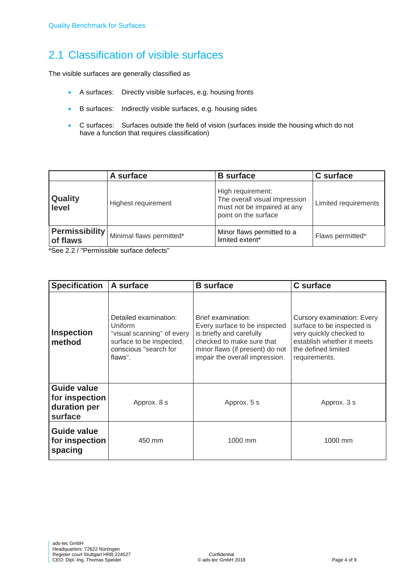# <span id="page-3-0"></span>2.1 Classification of visible surfaces

The visible surfaces are generally classified as

- A surfaces: Directly visible surfaces, e.g. housing fronts
- B surfaces: Indirectly visible surfaces, e.g. housing sides
- C surfaces: Surfaces outside the field of vision (surfaces inside the housing which do not have a function that requires classification)

|                                   | A surface                | <b>B</b> surface                                                                                          | C surface            |
|-----------------------------------|--------------------------|-----------------------------------------------------------------------------------------------------------|----------------------|
| <b>Quality</b><br>level           | Highest requirement      | High requirement:<br>The overall visual impression<br>must not be impaired at any<br>point on the surface | Limited requirements |
| <b>Permissibility</b><br>of flaws | Minimal flaws permitted* | Minor flaws permitted to a<br>limited extent*                                                             | Flaws permitted*     |

\*See 2.2 / "Permissible surface defects"

| <b>Specification</b>                                            | A surface                                                                                                                      | <b>B</b> surface                                                                                                                                                                  | <b>C</b> surface                                                                                                                                                 |
|-----------------------------------------------------------------|--------------------------------------------------------------------------------------------------------------------------------|-----------------------------------------------------------------------------------------------------------------------------------------------------------------------------------|------------------------------------------------------------------------------------------------------------------------------------------------------------------|
| <b>Inspection</b><br>method                                     | Detailed examination:<br>Uniform<br>"visual scanning" of every<br>surface to be inspected;<br>conscious "search for<br>flaws". | Brief examination:<br>Every surface to be inspected<br>is briefly and carefully<br>checked to make sure that<br>minor flaws (if present) do not<br>impair the overall impression. | <b>Cursory examination: Every</b><br>surface to be inspected is<br>very quickly checked to<br>establish whether it meets<br>the defined limited<br>requirements. |
| <b>Guide value</b><br>for inspection<br>duration per<br>surface | Approx. 8 s                                                                                                                    | Approx. 5 s                                                                                                                                                                       | Approx. 3 s                                                                                                                                                      |
| <b>Guide value</b><br>for inspection<br>spacing                 | 450 mm                                                                                                                         | 1000 mm                                                                                                                                                                           | 1000 mm                                                                                                                                                          |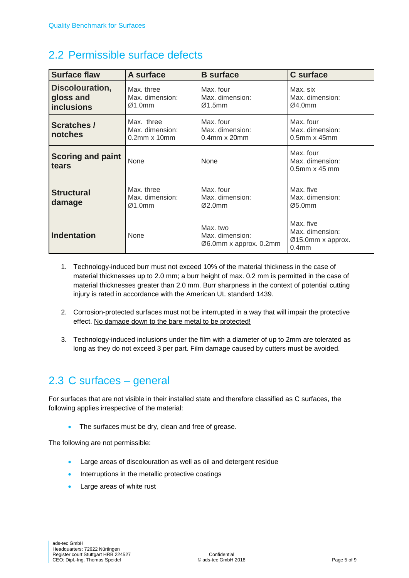### <span id="page-4-0"></span>2.2 Permissible surface defects

| <b>Surface flaw</b>                               | A surface                                               | <b>B</b> surface                                      | <b>C</b> surface                                                       |
|---------------------------------------------------|---------------------------------------------------------|-------------------------------------------------------|------------------------------------------------------------------------|
| Discolouration,<br>gloss and<br><b>inclusions</b> | Max. three<br>Max. dimension:<br>Ø1.0mm                 | Max. four<br>Max. dimension:<br>Ø1.5mm                | Max. six<br>Max. dimension:<br>Ø4.0mm                                  |
| <b>Scratches /</b><br>notches                     | Max. three<br>Max. dimension:<br>$0.2$ mm $\times$ 10mm | Max. four<br>Max. dimension:<br>$0.4$ mm $x$ 20mm     | Max. four<br>Max. dimension:<br>$0.5$ mm x 45mm                        |
| <b>Scoring and paint</b><br>tears                 | None                                                    | None                                                  | Max. four<br>Max. dimension:<br>$0.5$ mm $\times$ 45 mm                |
| <b>Structural</b><br>damage                       | Max. three<br>Max. dimension:<br>Ø1.0mm                 | Max. four<br>Max. dimension:<br>Ø2.0mm                | Max. five<br>Max. dimension:<br>Ø5.0mm                                 |
| <b>Indentation</b>                                | None                                                    | Max. two<br>Max. dimension:<br>Ø6.0mm x approx. 0.2mm | Max. five<br>Max. dimension:<br>Ø15.0mm x approx.<br>0.4 <sub>mm</sub> |

- 1. Technology-induced burr must not exceed 10% of the material thickness in the case of material thicknesses up to 2.0 mm; a burr height of max. 0.2 mm is permitted in the case of material thicknesses greater than 2.0 mm. Burr sharpness in the context of potential cutting injury is rated in accordance with the American UL standard 1439.
- 2. Corrosion-protected surfaces must not be interrupted in a way that will impair the protective effect. No damage down to the bare metal to be protected!
- 3. Technology-induced inclusions under the film with a diameter of up to 2mm are tolerated as long as they do not exceed 3 per part. Film damage caused by cutters must be avoided.

## <span id="page-4-1"></span>2.3 C surfaces – general

For surfaces that are not visible in their installed state and therefore classified as C surfaces, the following applies irrespective of the material:

• The surfaces must be dry, clean and free of grease.

The following are not permissible:

- Large areas of discolouration as well as oil and detergent residue
- Interruptions in the metallic protective coatings
- Large areas of white rust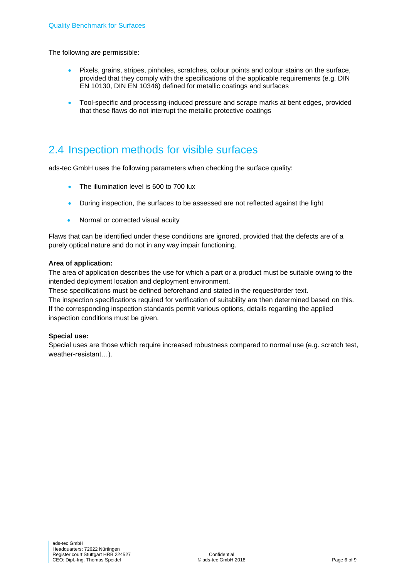The following are permissible:

- Pixels, grains, stripes, pinholes, scratches, colour points and colour stains on the surface, provided that they comply with the specifications of the applicable requirements (e.g. DIN EN 10130, DIN EN 10346) defined for metallic coatings and surfaces
- Tool-specific and processing-induced pressure and scrape marks at bent edges, provided that these flaws do not interrupt the metallic protective coatings

### <span id="page-5-0"></span>2.4 Inspection methods for visible surfaces

ads-tec GmbH uses the following parameters when checking the surface quality:

- The illumination level is 600 to 700 lux
- During inspection, the surfaces to be assessed are not reflected against the light
- Normal or corrected visual acuity

Flaws that can be identified under these conditions are ignored, provided that the defects are of a purely optical nature and do not in any way impair functioning.

#### **Area of application:**

The area of application describes the use for which a part or a product must be suitable owing to the intended deployment location and deployment environment.

These specifications must be defined beforehand and stated in the request/order text. The inspection specifications required for verification of suitability are then determined based on this. If the corresponding inspection standards permit various options, details regarding the applied

inspection conditions must be given.

#### **Special use:**

Special uses are those which require increased robustness compared to normal use (e.g. scratch test, weather-resistant…).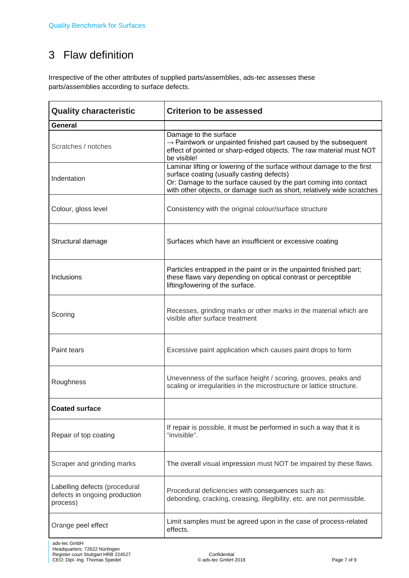# <span id="page-6-0"></span>3 Flaw definition

Irrespective of the other attributes of supplied parts/assemblies, ads-tec assesses these parts/assemblies according to surface defects.

| <b>Quality characteristic</b>                                              | <b>Criterion to be assessed</b>                                                                                                                                                                                                                                   |  |
|----------------------------------------------------------------------------|-------------------------------------------------------------------------------------------------------------------------------------------------------------------------------------------------------------------------------------------------------------------|--|
| General                                                                    |                                                                                                                                                                                                                                                                   |  |
| Scratches / notches                                                        | Damage to the surface<br>$\rightarrow$ Paintwork or unpainted finished part caused by the subsequent<br>effect of pointed or sharp-edged objects. The raw material must NOT<br>be visible!                                                                        |  |
| Indentation                                                                | Laminar lifting or lowering of the surface without damage to the first<br>surface coating (usually casting defects)<br>Or: Damage to the surface caused by the part coming into contact<br>with other objects, or damage such as short, relatively wide scratches |  |
| Colour, gloss level                                                        | Consistency with the original colour/surface structure                                                                                                                                                                                                            |  |
| Structural damage                                                          | Surfaces which have an insufficient or excessive coating                                                                                                                                                                                                          |  |
| Inclusions                                                                 | Particles entrapped in the paint or in the unpainted finished part;<br>these flaws vary depending on optical contrast or perceptible<br>lifting/lowering of the surface.                                                                                          |  |
| Scoring                                                                    | Recesses, grinding marks or other marks in the material which are<br>visible after surface treatment                                                                                                                                                              |  |
| Paint tears                                                                | Excessive paint application which causes paint drops to form                                                                                                                                                                                                      |  |
| Roughness                                                                  | Unevenness of the surface height / scoring, grooves, peaks and<br>scaling or irregularities in the microstructure or lattice structure.                                                                                                                           |  |
| <b>Coated surface</b>                                                      |                                                                                                                                                                                                                                                                   |  |
| Repair of top coating                                                      | If repair is possible, it must be performed in such a way that it is<br>"invisible".                                                                                                                                                                              |  |
| Scraper and grinding marks                                                 | The overall visual impression must NOT be impaired by these flaws.                                                                                                                                                                                                |  |
| Labelling defects (procedural<br>defects in ongoing production<br>process) | Procedural deficiencies with consequences such as:<br>debonding, cracking, creasing, illegibility, etc. are not permissible.                                                                                                                                      |  |
| Orange peel effect                                                         | Limit samples must be agreed upon in the case of process-related<br>effects.                                                                                                                                                                                      |  |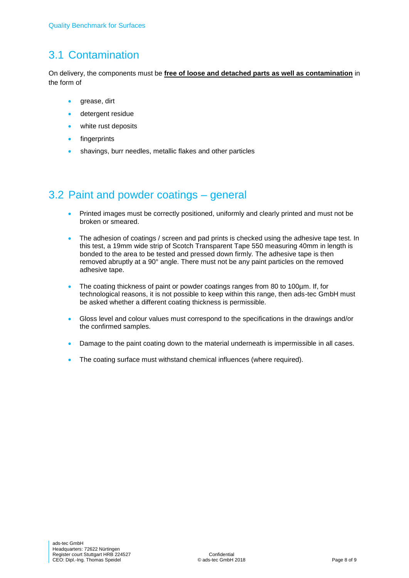# <span id="page-7-0"></span>3.1 Contamination

On delivery, the components must be **free of loose and detached parts as well as contamination** in the form of

- grease, dirt
- detergent residue
- white rust deposits
- fingerprints
- shavings, burr needles, metallic flakes and other particles

# <span id="page-7-1"></span>3.2 Paint and powder coatings – general

- Printed images must be correctly positioned, uniformly and clearly printed and must not be broken or smeared.
- The adhesion of coatings / screen and pad prints is checked using the adhesive tape test. In this test, a 19mm wide strip of Scotch Transparent Tape 550 measuring 40mm in length is bonded to the area to be tested and pressed down firmly. The adhesive tape is then removed abruptly at a 90° angle. There must not be any paint particles on the removed adhesive tape.
- The coating thickness of paint or powder coatings ranges from 80 to 100µm. If, for technological reasons, it is not possible to keep within this range, then ads-tec GmbH must be asked whether a different coating thickness is permissible.
- Gloss level and colour values must correspond to the specifications in the drawings and/or the confirmed samples.
- **•** Damage to the paint coating down to the material underneath is impermissible in all cases.
- The coating surface must withstand chemical influences (where required).